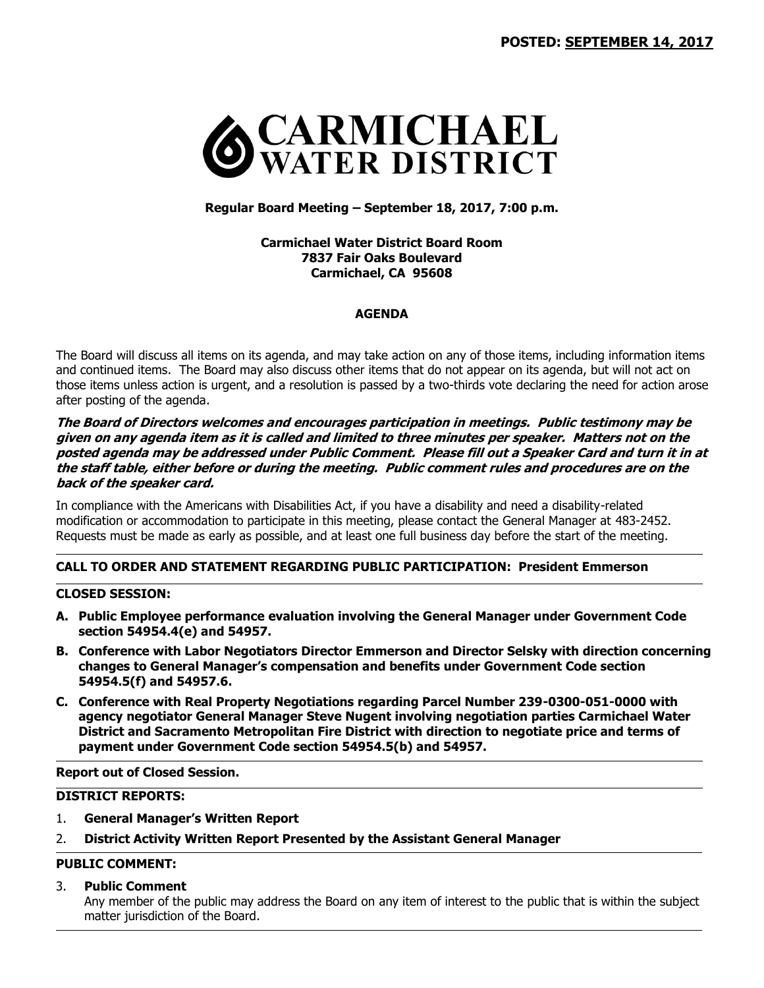

## **Regular Board Meeting – September 18, 2017, 7:00 p.m.**

**Carmichael Water District Board Room 7837 Fair Oaks Boulevard Carmichael, CA 95608**

## **AGENDA**

The Board will discuss all items on its agenda, and may take action on any of those items, including information items and continued items. The Board may also discuss other items that do not appear on its agenda, but will not act on those items unless action is urgent, and a resolution is passed by a two-thirds vote declaring the need for action arose after posting of the agenda.

**The Board of Directors welcomes and encourages participation in meetings. Public testimony may be given on any agenda item as it is called and limited to three minutes per speaker. Matters not on the posted agenda may be addressed under Public Comment. Please fill out a Speaker Card and turn it in at the staff table, either before or during the meeting. Public comment rules and procedures are on the back of the speaker card.**

In compliance with the Americans with Disabilities Act, if you have a disability and need a disability-related modification or accommodation to participate in this meeting, please contact the General Manager at 483-2452. Requests must be made as early as possible, and at least one full business day before the start of the meeting.

## **CALL TO ORDER AND STATEMENT REGARDING PUBLIC PARTICIPATION: President Emmerson**

## **CLOSED SESSION:**

- **A. Public Employee performance evaluation involving the General Manager under Government Code section 54954.4(e) and 54957.**
- **B. Conference with Labor Negotiators Director Emmerson and Director Selsky with direction concerning changes to General Manager's compensation and benefits under Government Code section 54954.5(f) and 54957.6.**
- **C. Conference with Real Property Negotiations regarding Parcel Number 239-0300-051-0000 with agency negotiator General Manager Steve Nugent involving negotiation parties Carmichael Water District and Sacramento Metropolitan Fire District with direction to negotiate price and terms of payment under Government Code section 54954.5(b) and 54957.**

#### **Report out of Closed Session.**

# **DISTRICT REPORTS:**

- 1. **General Manager's Written Report**
- 2. **District Activity Written Report Presented by the Assistant General Manager**

# **PUBLIC COMMENT:**

#### 3. **Public Comment**

Any member of the public may address the Board on any item of interest to the public that is within the subject matter jurisdiction of the Board.